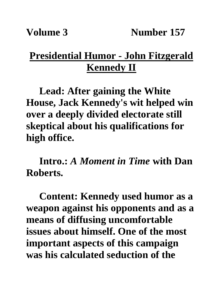## **Presidential Humor - John Fitzgerald Kennedy II**

**Lead: After gaining the White House, Jack Kennedy's wit helped win over a deeply divided electorate still skeptical about his qualifications for high office.**

**Intro.:** *A Moment in Time* **with Dan Roberts.**

**Content: Kennedy used humor as a weapon against his opponents and as a means of diffusing uncomfortable issues about himself. One of the most important aspects of this campaign was his calculated seduction of the**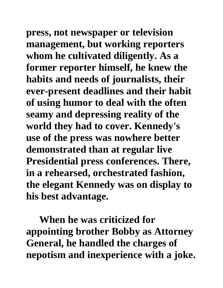**press, not newspaper or television management, but working reporters whom he cultivated diligently. As a former reporter himself, he knew the habits and needs of journalists, their ever-present deadlines and their habit of using humor to deal with the often seamy and depressing reality of the world they had to cover. Kennedy's use of the press was nowhere better demonstrated than at regular live Presidential press conferences. There, in a rehearsed, orchestrated fashion, the elegant Kennedy was on display to his best advantage.**

**When he was criticized for appointing brother Bobby as Attorney General, he handled the charges of nepotism and inexperience with a joke.**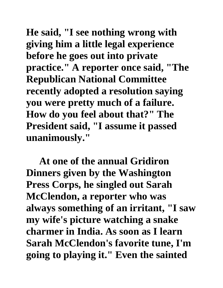**He said, "I see nothing wrong with giving him a little legal experience before he goes out into private practice." A reporter once said, "The Republican National Committee recently adopted a resolution saying you were pretty much of a failure. How do you feel about that?" The President said, "I assume it passed unanimously."**

**At one of the annual Gridiron Dinners given by the Washington Press Corps, he singled out Sarah McClendon, a reporter who was always something of an irritant, "I saw my wife's picture watching a snake charmer in India. As soon as I learn Sarah McClendon's favorite tune, I'm going to playing it." Even the sainted**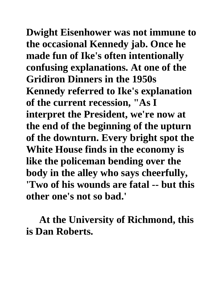**Dwight Eisenhower was not immune to the occasional Kennedy jab. Once he made fun of Ike's often intentionally confusing explanations. At one of the Gridiron Dinners in the 1950s Kennedy referred to Ike's explanation of the current recession, "As I interpret the President, we're now at the end of the beginning of the upturn of the downturn. Every bright spot the White House finds in the economy is like the policeman bending over the body in the alley who says cheerfully, 'Two of his wounds are fatal -- but this other one's not so bad.'**

**At the University of Richmond, this is Dan Roberts.**